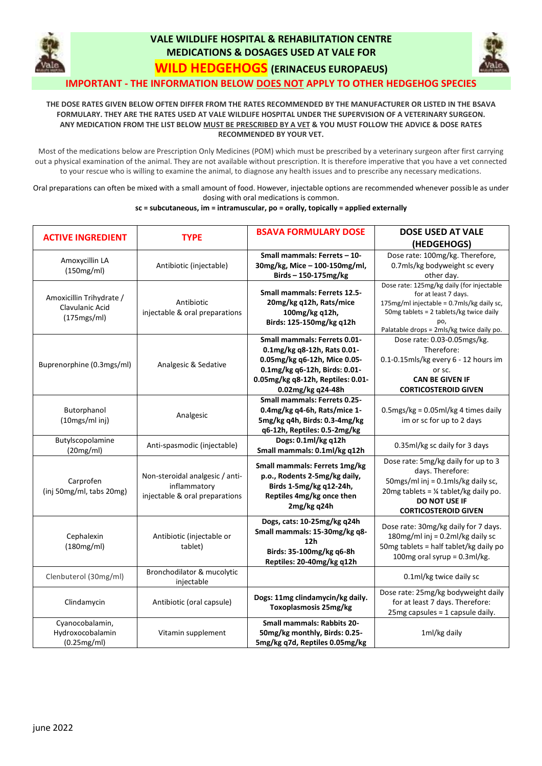

## **VALE WILDLIFE HOSPITAL & REHABILITATION CENTRE MEDICATIONS & DOSAGES USED AT VALE FOR**



**WILD HEDGEHOGS (ERINACEUS EUROPAEUS)**

## **IMPORTANT - THE INFORMATION BELOW DOES NOT APPLY TO OTHER HEDGEHOG SPECIES**

## THE DOSE RATES GIVEN BELOW OFTEN DIFFER FROM THE RATES RECOMMENDED BY THE MANUFACTURER OR LISTED IN THE BSAVA FORMULARY. THEY ARE THE RATES USED AT VALE WILDLIFE HOSPITAL UNDER THE SUPERVISION OF A VETERINARY SURGEON. ANY MEDICATION FROM THE LIST BELOW MUST BE PRESCRIBED BY A VET & YOU MUST FOLLOW THE ADVICE & DOSE RATES **RECOMMENDED BY YOUR VET.**

Most of the medications below are Prescription Only Medicines (POM) which must be prescribed by a veterinary surgeon after first carrying out a physical examination of the animal. They are not available without prescription. It is therefore imperative that you have a vet connected to your rescue who is willing to examine the animal, to diagnose any health issues and to prescribe any necessary medications.

Oral preparations can often be mixed with a small amount of food. However, injectable options are recommended whenever possible as under dosing with oral medications is common.

## **sc = subcutaneous, im = intramuscular, po = orally, topically = applied externally**

| <b>ACTIVE INGREDIENT</b>  | <b>TYPE</b>                     | <b>BSAVA FORMULARY DOSE</b>                                      | <b>DOSE USED AT VALE</b>                         |
|---------------------------|---------------------------------|------------------------------------------------------------------|--------------------------------------------------|
|                           |                                 |                                                                  | (HEDGEHOGS)                                      |
| Amoxycillin LA            |                                 | Small mammals: Ferrets - 10-                                     | Dose rate: 100mg/kg. Therefore,                  |
| (150mg/ml)                | Antibiotic (injectable)         | 30mg/kg, Mice - 100-150mg/ml,                                    | 0.7mls/kg bodyweight sc every                    |
|                           |                                 | Birds-150-175mg/kg                                               | other day.                                       |
|                           | Antibiotic                      | <b>Small mammals: Ferrets 12.5-</b>                              | Dose rate: 125mg/kg daily (for injectable        |
| Amoxicillin Trihydrate /  |                                 |                                                                  | for at least 7 days.                             |
| Clavulanic Acid           |                                 | 20mg/kg q12h, Rats/mice                                          | 175mg/ml injectable = 0.7mls/kg daily sc,        |
| (175mgs/ml)               | injectable & oral preparations  | 100mg/kg q12h,                                                   | 50mg tablets = 2 tablets/kg twice daily<br>po,   |
|                           |                                 | Birds: 125-150mg/kg q12h                                         | Palatable drops = 2mls/kg twice daily po.        |
|                           | Analgesic & Sedative            | <b>Small mammals: Ferrets 0.01-</b>                              | Dose rate: 0.03-0.05mgs/kg.                      |
|                           |                                 | 0.1mg/kg q8-12h, Rats 0.01-                                      | Therefore:                                       |
|                           |                                 | 0.05mg/kg q6-12h, Mice 0.05-                                     | 0.1-0.15mls/kg every 6 - 12 hours im             |
| Buprenorphine (0.3mgs/ml) |                                 | 0.1mg/kg q6-12h, Birds: 0.01-                                    | or sc.                                           |
|                           |                                 | 0.05mg/kg q8-12h, Reptiles: 0.01-                                | <b>CAN BE GIVEN IF</b>                           |
|                           |                                 | 0.02mg/kg q24-48h                                                | <b>CORTICOSTEROID GIVEN</b>                      |
|                           |                                 | <b>Small mammals: Ferrets 0.25-</b>                              |                                                  |
| Butorphanol               |                                 | 0.4mg/kg q4-6h, Rats/mice 1-                                     | $0.5$ mgs/kg = 0.05ml/kg 4 times daily           |
| (10mgs/ml inj)            | Analgesic                       | 5mg/kg q4h, Birds: 0.3-4mg/kg                                    | im or sc for up to 2 days                        |
|                           |                                 | q6-12h, Reptiles: 0.5-2mg/kg                                     |                                                  |
| Butylscopolamine          |                                 | Dogs: 0.1ml/kg q12h                                              |                                                  |
| (20mg/ml)                 | Anti-spasmodic (injectable)     | Small mammals: 0.1ml/kg q12h                                     | 0.35ml/kg sc daily for 3 days                    |
|                           | Non-steroidal analgesic / anti- | Small mammals: Ferrets 1mg/kg                                    | Dose rate: 5mg/kg daily for up to 3              |
|                           |                                 | p.o., Rodents 2-5mg/kg daily,                                    | days. Therefore:                                 |
| Carprofen                 | inflammatory                    | Birds 1-5mg/kg q12-24h,                                          | 50mgs/ml inj = 0.1mls/kg daily sc,               |
| (inj 50mg/ml, tabs 20mg)  | injectable & oral preparations  | Reptiles 4mg/kg once then                                        | 20mg tablets = $\frac{1}{4}$ tablet/kg daily po. |
|                           |                                 | 2mg/kg q24h                                                      | <b>DO NOT USE IF</b>                             |
|                           |                                 |                                                                  | <b>CORTICOSTEROID GIVEN</b>                      |
|                           |                                 | Dogs, cats: 10-25mg/kg q24h                                      | Dose rate: 30mg/kg daily for 7 days.             |
| Cephalexin                | Antibiotic (injectable or       | Small mammals: 15-30mg/kg q8-                                    | 180mg/ml inj = 0.2ml/kg daily sc                 |
| (180mg/ml)                | tablet)                         | 12 <sub>h</sub>                                                  | 50mg tablets = half tablet/kg daily po           |
|                           |                                 | Birds: 35-100mg/kg q6-8h                                         | 100mg oral syrup = 0.3ml/kg.                     |
|                           |                                 | Reptiles: 20-40mg/kg q12h                                        |                                                  |
| Clenbuterol (30mg/ml)     | Bronchodilator & mucolytic      |                                                                  | 0.1ml/kg twice daily sc                          |
|                           | injectable                      |                                                                  |                                                  |
| Clindamycin               | Antibiotic (oral capsule)       | Dogs: 11mg clindamycin/kg daily.<br><b>Toxoplasmosis 25mg/kg</b> | Dose rate: 25mg/kg bodyweight daily              |
|                           |                                 |                                                                  | for at least 7 days. Therefore:                  |
|                           |                                 |                                                                  | 25mg capsules = 1 capsule daily.                 |
| Cyanocobalamin,           |                                 | <b>Small mammals: Rabbits 20-</b>                                |                                                  |
| Hydroxocobalamin          | Vitamin supplement              | 50mg/kg monthly, Birds: 0.25-                                    | 1ml/kg daily                                     |
| (0.25mg/ml)               |                                 | 5mg/kg q7d, Reptiles 0.05mg/kg                                   |                                                  |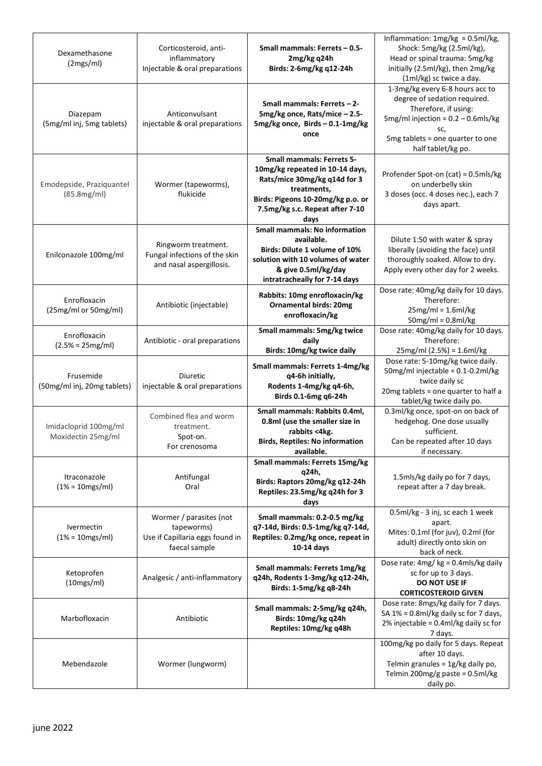| Dexamethasone<br>(2mgs/ml)                  | Corticosteroid, anti-<br>inflammatory<br>Injectable & oral preparations                   | Small mammals: Ferrets - 0.5-<br>2mg/kg q24h<br>Birds: 2-6mg/kg q12-24h                                                                                                                            | Inflammation: $1mg/kg = 0.5ml/kg$ ,<br>Shock: 5mg/kg (2.5ml/kg),<br>Head or spinal trauma: 5mg/kg<br>initially (2.5ml/kg), then 2mg/kg<br>(1ml/kg) sc twice a day.                                |
|---------------------------------------------|-------------------------------------------------------------------------------------------|----------------------------------------------------------------------------------------------------------------------------------------------------------------------------------------------------|---------------------------------------------------------------------------------------------------------------------------------------------------------------------------------------------------|
| Diazepam<br>(5mg/ml inj, 5mg tablets)       | Anticonvulsant<br>injectable & oral preparations                                          | Small mammals: Ferrets - 2-<br>5mg/kg once, Rats/mice - 2.5-<br>5mg/kg once, Birds - 0.1-1mg/kg<br>once                                                                                            | 1-3mg/kg every 6-8 hours acc to<br>degree of sedation required.<br>Therefore, if using:<br>5mg/ml injection = $0.2 - 0.6$ mls/kg<br>SC,<br>5mg tablets = one quarter to one<br>half tablet/kg po. |
| Emodepside, Praziquantel<br>(85.8mg/ml)     | Wormer (tapeworms),<br>flukicide                                                          | <b>Small mammals: Ferrets 5-</b><br>10mg/kg repeated in 10-14 days,<br>Rats/mice 30mg/kg q14d for 3<br>treatments,<br>Birds: Pigeons 10-20mg/kg p.o. or<br>7.5mg/kg s.c. Repeat after 7-10<br>days | Profender Spot-on (cat) = 0.5mls/kg<br>on underbelly skin<br>3 doses (occ. 4 doses nec.), each 7<br>days apart.                                                                                   |
| Enilconazole 100mg/ml                       | Ringworm treatment.<br>Fungal infections of the skin<br>and nasal aspergillosis.          | <b>Small mammals: No information</b><br>available.<br>Birds: Dilute 1 volume of 10%<br>solution with 10 volumes of water<br>& give 0.5ml/kg/day<br>intratracheally for 7-14 days                   | Dilute 1:50 with water & spray<br>liberally (avoiding the face) until<br>thoroughly soaked. Allow to dry.<br>Apply every other day for 2 weeks.                                                   |
| Enrofloxacin<br>(25mg/ml or 50mg/ml)        | Antibiotic (injectable)                                                                   | Rabbits: 10mg enrofloxacin/kg<br><b>Ornamental birds: 20mg</b><br>enrofloxacin/kg                                                                                                                  | Dose rate: 40mg/kg daily for 10 days.<br>Therefore:<br>$25mg/ml = 1.6ml/kg$<br>$50mg/ml = 0.8ml/kg$                                                                                               |
| Enrofloxacin<br>$(2.5% = 25mg/ml)$          | Antibiotic - oral preparations                                                            | Small mammals: 5mg/kg twice<br>daily<br>Birds: 10mg/kg twice daily                                                                                                                                 | Dose rate: 40mg/kg daily for 10 days.<br>Therefore:<br>25mg/ml (2.5%) = 1.6ml/kg                                                                                                                  |
| Frusemide<br>(50mg/ml inj, 20mg tablets)    | Diuretic<br>injectable & oral preparations                                                | Small mammals: Ferrets 1-4mg/kg<br>q4-6h initially,<br>Rodents 1-4mg/kg q4-6h,<br>Birds 0.1-6mg q6-24h                                                                                             | Dose rate: 5-10mg/kg twice daily.<br>50mg/ml injectable = 0.1-0.2ml/kg<br>twice daily sc<br>20mg tablets = one quarter to half a<br>tablet/kg twice daily po.                                     |
| Imidacloprid 100mg/ml<br>Moxidectin 25mg/ml | Combined flea and worm<br>treatment.<br>Spot-on.<br>For crenosoma                         | Small mammals: Rabbits 0.4ml,<br>0.8ml (use the smaller size in<br>rabbits <4kg.<br><b>Birds, Reptiles: No information</b><br>available.                                                           | 0.3ml/kg once, spot-on on back of<br>hedgehog. One dose usually<br>sufficient.<br>Can be repeated after 10 days<br>if necessary.                                                                  |
| Itraconazole<br>$(1% = 10mgs/ml)$           | Antifungal<br>Oral                                                                        | Small mammals: Ferrets 15mg/kg<br>q24h,<br>Birds: Raptors 20mg/kg q12-24h<br>Reptiles: 23.5mg/kg q24h for 3<br>days                                                                                | 1.5mls/kg daily po for 7 days,<br>repeat after a 7 day break.                                                                                                                                     |
| Ivermectin<br>$(1% = 10mgs/ml)$             | Wormer / parasites (not<br>tapeworms)<br>Use if Capillaria eggs found in<br>faecal sample | Small mammals: 0.2-0.5 mg/kg<br>q7-14d, Birds: 0.5-1mg/kg q7-14d,<br>Reptiles: 0.2mg/kg once, repeat in<br>10-14 days                                                                              | 0.5ml/kg - 3 inj, sc each 1 week<br>apart.<br>Mites: 0.1ml (for juv), 0.2ml (for<br>adult) directly onto skin on<br>back of neck.                                                                 |
| Ketoprofen<br>(10mgs/ml)                    | Analgesic / anti-inflammatory                                                             | Small mammals: Ferrets 1mg/kg<br>q24h, Rodents 1-3mg/kg q12-24h,<br>Birds: 1-5mg/kg q8-24h                                                                                                         | Dose rate: 4mg/kg = 0.4mls/kg daily<br>sc for up to 3 days.<br><b>DO NOT USE IF</b><br><b>CORTICOSTEROID GIVEN</b>                                                                                |
| Marbofloxacin                               | Antibiotic                                                                                | Small mammals: 2-5mg/kg q24h,<br>Birds: 10mg/kg q24h<br>Reptiles: 10mg/kg q48h                                                                                                                     | Dose rate: 8mgs/kg daily for 7 days.<br>SA 1% = 0.8ml/kg daily sc for 7 days,<br>2% injectable = 0.4ml/kg daily sc for<br>7 days.                                                                 |
| Mebendazole                                 | Wormer (lungworm)                                                                         |                                                                                                                                                                                                    | 100mg/kg po daily for 5 days. Repeat<br>after 10 days.<br>Telmin granules = 1g/kg daily po,<br>Telmin 200mg/g paste = $0.5$ ml/kg<br>daily po.                                                    |